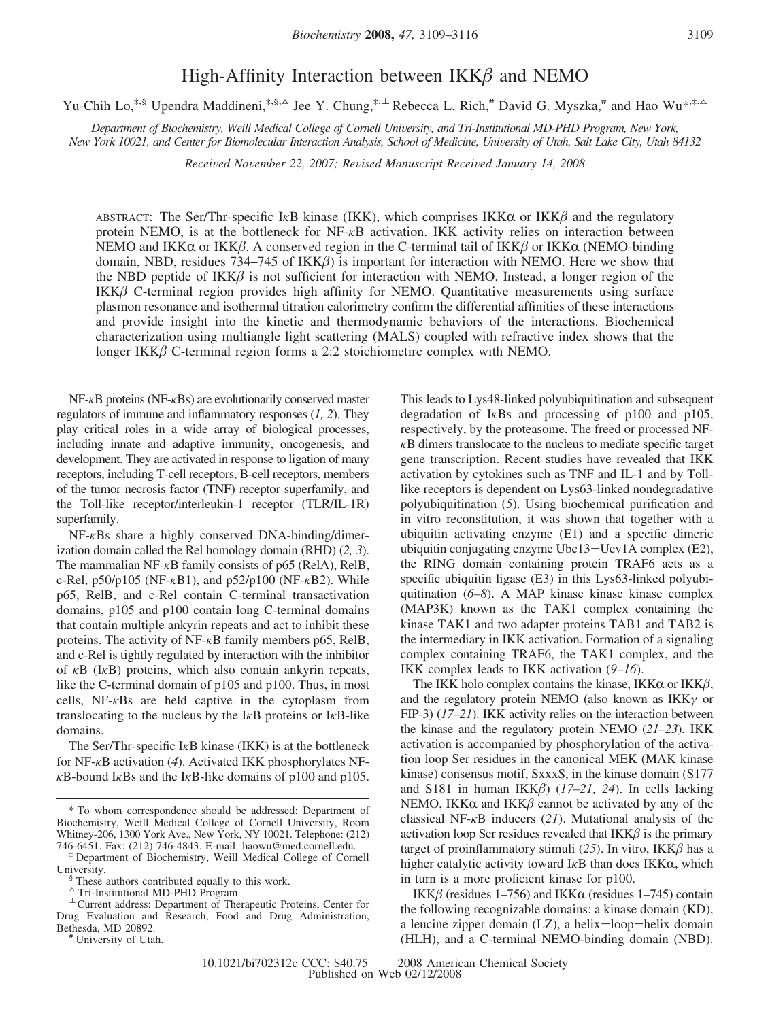# High-Affinity Interaction between  $IKK\beta$  and NEMO

Yu-Chih Lo,<sup>‡,§</sup> Upendra Maddineni,<sup>‡,§,△</sup> Jee Y. Chung,<sup>‡,⊥</sup> Rebecca L. Rich,<sup>#</sup> David G. Myszka,<sup>#</sup> and Hao Wu<sup>\*,‡,△</sup>

*Department of Biochemistry, Weill Medical College of Cornell Uni*V*ersity, and Tri-Institutional MD-PHD Program, New York, New York 10021, and Center for Biomolecular Interaction Analysis, School of Medicine, University of Utah, Salt Lake City, Utah 84132* 

*Recei*V*ed No*V*ember 22, 2007; Re*V*ised Manuscript Recei*V*ed January 14, 2008*

ABSTRACT: The Ser/Thr-specific I<sub>K</sub>B kinase (IKK), which comprises IKK $\alpha$  or IKK $\beta$  and the regulatory protein NEMO, is at the bottleneck for NF-*κ*B activation. IKK activity relies on interaction between NEMO and IKK $\alpha$  or IKK $\beta$ . A conserved region in the C-terminal tail of IKK $\beta$  or IKK $\alpha$  (NEMO-binding domain, NBD, residues 734–745 of  $IKK\beta$ ) is important for interaction with NEMO. Here we show that the NBD peptide of  $IKK\beta$  is not sufficient for interaction with NEMO. Instead, a longer region of the  $IKK\beta$  C-terminal region provides high affinity for NEMO. Quantitative measurements using surface plasmon resonance and isothermal titration calorimetry confirm the differential affinities of these interactions and provide insight into the kinetic and thermodynamic behaviors of the interactions. Biochemical characterization using multiangle light scattering (MALS) coupled with refractive index shows that the longer IKK $\beta$  C-terminal region forms a 2:2 stoichiometirc complex with NEMO.

NF-*κ*B proteins (NF-*κ*Bs) are evolutionarily conserved master regulators of immune and inflammatory responses (*1, 2*). They play critical roles in a wide array of biological processes, including innate and adaptive immunity, oncogenesis, and development. They are activated in response to ligation of many receptors, including T-cell receptors, B-cell receptors, members of the tumor necrosis factor (TNF) receptor superfamily, and the Toll-like receptor/interleukin-1 receptor (TLR/IL-1R) superfamily.

NF-*κ*Bs share a highly conserved DNA-binding/dimerization domain called the Rel homology domain (RHD) (*2, 3*). The mammalian NF-*κ*B family consists of p65 (RelA), RelB, c-Rel, p50/p105 (NF-*κ*B1), and p52/p100 (NF-*κ*B2). While p65, RelB, and c-Rel contain C-terminal transactivation domains, p105 and p100 contain long C-terminal domains that contain multiple ankyrin repeats and act to inhibit these proteins. The activity of NF-*κ*B family members p65, RelB, and c-Rel is tightly regulated by interaction with the inhibitor of *κ*B (I*κ*B) proteins, which also contain ankyrin repeats, like the C-terminal domain of p105 and p100. Thus, in most cells, NF-*κ*Bs are held captive in the cytoplasm from translocating to the nucleus by the I*κ*B proteins or I*κ*B-like domains.

The Ser/Thr-specific I*κ*B kinase (IKK) is at the bottleneck for NF-*κ*B activation (*4*). Activated IKK phosphorylates NF*κ*B-bound I*κ*Bs and the I*κ*B-like domains of p100 and p105. This leads to Lys48-linked polyubiquitination and subsequent degradation of I*κ*Bs and processing of p100 and p105, respectively, by the proteasome. The freed or processed NF*κ*B dimers translocate to the nucleus to mediate specific target gene transcription. Recent studies have revealed that IKK activation by cytokines such as TNF and IL-1 and by Tolllike receptors is dependent on Lys63-linked nondegradative polyubiquitination (*5*). Using biochemical purification and in vitro reconstitution, it was shown that together with a ubiquitin activating enzyme (E1) and a specific dimeric ubiquitin conjugating enzyme Ubc13-Uev1A complex (E2), the RING domain containing protein TRAF6 acts as a specific ubiquitin ligase (E3) in this Lys63-linked polyubiquitination (*6–8*). A MAP kinase kinase kinase complex (MAP3K) known as the TAK1 complex containing the kinase TAK1 and two adapter proteins TAB1 and TAB2 is the intermediary in IKK activation. Formation of a signaling complex containing TRAF6, the TAK1 complex, and the IKK complex leads to IKK activation (*9–16*).

The IKK holo complex contains the kinase, IKK $\alpha$  or IKK $\beta$ , and the regulatory protein NEMO (also known as IKK*γ* or FIP-3) (*17–21*). IKK activity relies on the interaction between the kinase and the regulatory protein NEMO (*21–23*). IKK activation is accompanied by phosphorylation of the activation loop Ser residues in the canonical MEK (MAK kinase kinase) consensus motif, SxxxS, in the kinase domain (S177 and S181 in human  $IKK\beta$ ) (17–21, 24). In cells lacking NEMO, IKK $\alpha$  and IKK $\beta$  cannot be activated by any of the classical NF-*κ*B inducers (*21*). Mutational analysis of the activation loop Ser residues revealed that  $IKK\beta$  is the primary target of proinflammatory stimuli (25). In vitro,  $IKK\beta$  has a higher catalytic activity toward I<sub>κ</sub>B than does IKKα, which in turn is a more proficient kinase for p100.

IKK $\beta$  (residues 1–756) and IKK $\alpha$  (residues 1–745) contain the following recognizable domains: a kinase domain (KD), a leucine zipper domain (LZ), a helix-loop-helix domain (HLH), and a C-terminal NEMO-binding domain (NBD).

<sup>\*</sup> To whom correspondence should be addressed: Department of Biochemistry, Weill Medical College of Cornell University, Room Whitney-206, 1300 York Ave., New York, NY 10021. Telephone: (212) 746-6451. Fax: (212) 746-4843. E-mail: haowu@med.cornell.edu.

<sup>‡</sup> Department of Biochemistry, Weill Medical College of Cornell University. § These authors contributed equally to this work.

 $^\Delta$  Tri-Institutional MD-PHD Program.

 $\perp$  Current address: Department of Therapeutic Proteins, Center for Drug Evaluation and Research, Food and Drug Administration,

<sup>#</sup> University of Utah.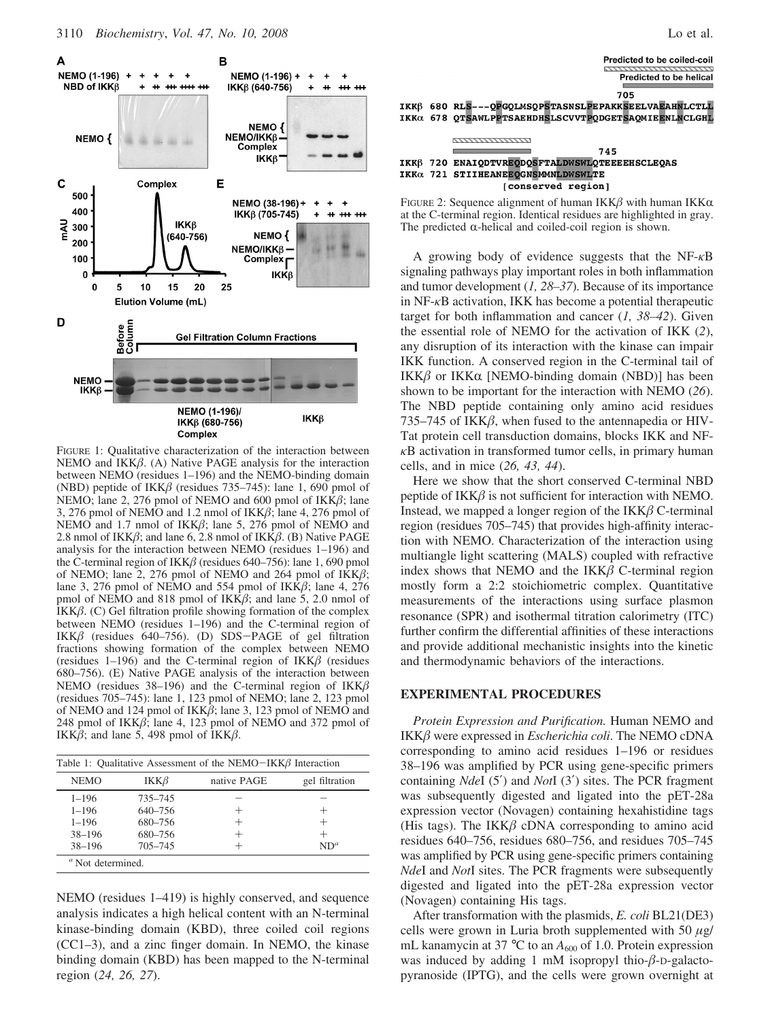

FIGURE 1: Qualitative characterization of the interaction between NEMO and IKK $\beta$ . (A) Native PAGE analysis for the interaction between NEMO (residues 1–196) and the NEMO-binding domain (NBD) peptide of IKK $\beta$  (residues 735–745): lane 1, 690 pmol of NEMO; lane 2, 276 pmol of NEMO and 600 pmol of  $IKK\beta$ ; lane 3, 276 pmol of NEMO and 1.2 nmol of  $IKK\beta$ ; lane 4, 276 pmol of NEMO and 1.7 nmol of  $IKK\beta$ ; lane 5, 276 pmol of NEMO and 2.8 nmol of IKK $\beta$ ; and lane 6, 2.8 nmol of IKK $\beta$ . (B) Native PAGE analysis for the interaction between NEMO (residues 1–196) and the C-terminal region of IKK $\beta$  (residues 640–756): lane 1, 690 pmol of NEMO; lane 2, 276 pmol of NEMO and 264 pmol of  $IKK\beta$ ; lane 3, 276 pmol of NEMO and 554 pmol of IKK $\beta$ ; lane 4, 276 pmol of NEMO and 818 pmol of IKK $\beta$ ; and lane 5, 2.0 nmol of IKK $\beta$ . (C) Gel filtration profile showing formation of the complex between NEMO (residues 1–196) and the C-terminal region of IKK $\beta$  (residues 640–756). (D) SDS-PAGE of gel filtration fractions showing formation of the complex between NEMO (residues 1–196) and the C-terminal region of  $IKK\beta$  (residues 680–756). (E) Native PAGE analysis of the interaction between NEMO (residues 38–196) and the C-terminal region of  $IKK\beta$ (residues 705–745): lane 1, 123 pmol of NEMO; lane 2, 123 pmol of NEMO and 124 pmol of  $IKK\beta$ ; lane 3, 123 pmol of NEMO and 248 pmol of IKK $\beta$ ; lane 4, 123 pmol of NEMO and 372 pmol of IKK $\beta$ ; and lane 5, 498 pmol of IKK $\beta$ .

| Table 1: Qualitative Assessment of the NEMO-IKK $\beta$ Interaction |            |             |                |  |  |  |
|---------------------------------------------------------------------|------------|-------------|----------------|--|--|--|
| <b>NEMO</b>                                                         | $IKK\beta$ | native PAGE | gel filtration |  |  |  |
| $1 - 196$                                                           | 735-745    |             |                |  |  |  |
| $1 - 196$                                                           | 640-756    |             | $^+$           |  |  |  |
| $1 - 196$                                                           | 680-756    |             | $^+$           |  |  |  |
| $38 - 196$                                                          | 680-756    |             | $^+$           |  |  |  |
| $38 - 196$                                                          | 705-745    |             | $ND^a$         |  |  |  |
| $\alpha$ Not determined.                                            |            |             |                |  |  |  |

NEMO (residues 1–419) is highly conserved, and sequence analysis indicates a high helical content with an N-terminal kinase-binding domain (KBD), three coiled coil regions (CC1–3), and a zinc finger domain. In NEMO, the kinase binding domain (KBD) has been mapped to the N-terminal region (*24, 26, 27*).



A growing body of evidence suggests that the NF-*κ*B signaling pathways play important roles in both inflammation and tumor development (*1, 28–37*). Because of its importance in NF-*κ*B activation, IKK has become a potential therapeutic target for both inflammation and cancer (*1, 38–42*). Given the essential role of NEMO for the activation of IKK (*2*), any disruption of its interaction with the kinase can impair IKK function. A conserved region in the C-terminal tail of IKK $\beta$  or IKK $\alpha$  [NEMO-binding domain (NBD)] has been shown to be important for the interaction with NEMO (*26*). The NBD peptide containing only amino acid residues 735–745 of IKK $\beta$ , when fused to the antennapedia or HIV-Tat protein cell transduction domains, blocks IKK and NF*κ*B activation in transformed tumor cells, in primary human cells, and in mice (*26, 43, 44*).

Here we show that the short conserved C-terminal NBD peptide of  $IKK\beta$  is not sufficient for interaction with NEMO. Instead, we mapped a longer region of the  $IKK\beta$  C-terminal region (residues 705–745) that provides high-affinity interaction with NEMO. Characterization of the interaction using multiangle light scattering (MALS) coupled with refractive index shows that NEMO and the  $IKK\beta$  C-terminal region mostly form a 2:2 stoichiometric complex. Quantitative measurements of the interactions using surface plasmon resonance (SPR) and isothermal titration calorimetry (ITC) further confirm the differential affinities of these interactions and provide additional mechanistic insights into the kinetic and thermodynamic behaviors of the interactions.

### **EXPERIMENTAL PROCEDURES**

*Protein Expression and Purification.* Human NEMO and  $IKK\beta$  were expressed in *Escherichia coli*. The NEMO cDNA corresponding to amino acid residues 1–196 or residues 38–196 was amplified by PCR using gene-specific primers containing *Nde*I (5′) and *Not*I (3′) sites. The PCR fragment was subsequently digested and ligated into the pET-28a expression vector (Novagen) containing hexahistidine tags (His tags). The IKK $\beta$  cDNA corresponding to amino acid residues 640–756, residues 680–756, and residues 705–745 was amplified by PCR using gene-specific primers containing *Nde*I and *Not*I sites. The PCR fragments were subsequently digested and ligated into the pET-28a expression vector (Novagen) containing His tags.

After transformation with the plasmids, *E. coli* BL21(DE3) cells were grown in Luria broth supplemented with 50 *µ*g/ mL kanamycin at 37  $\degree$ C to an  $A_{600}$  of 1.0. Protein expression was induced by adding 1 mM isopropyl thio- $\beta$ -D-galactopyranoside (IPTG), and the cells were grown overnight at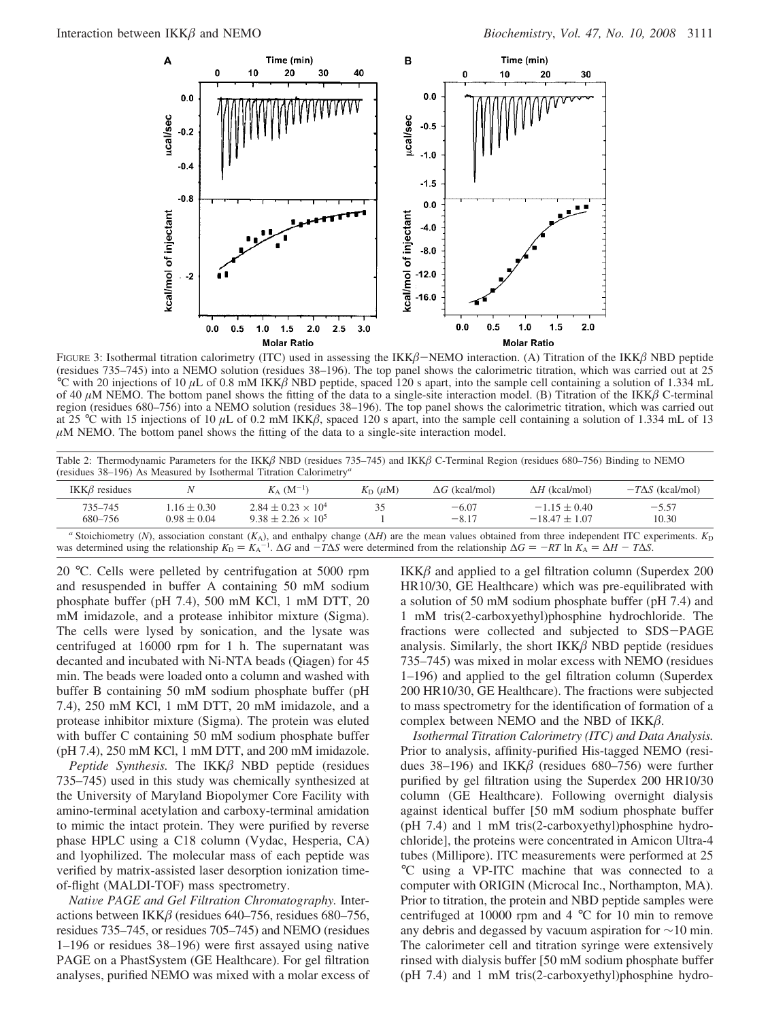

FIGURE 3: Isothermal titration calorimetry (ITC) used in assessing the IKK $\beta$ –NEMO interaction. (A) Titration of the IKK $\beta$  NBD peptide (residues 735–745) into a NEMO solution (residues 38–196). The top panel shows the calorimetric titration, which was carried out at 25 °C with 20 injections of 10  $\mu$ L of 0.8 mM IKK $\beta$  NBD peptide, spaced 120 s apart, into the sample cell containing a solution of 1.334 mL of 40  $\mu$ M NEMO. The bottom panel shows the fitting of the data to a single-site interaction model. (B) Titration of the IKK $\beta$  C-terminal region (residues 680–756) into a NEMO solution (residues 38–196). The top panel shows the calorimetric titration, which was carried out at 25 °C with 15 injections of 10  $\mu$ L of 0.2 mM IKK $\beta$ , spaced 120 s apart, into the sample cell containing a solution of 1.334 mL of 13  $\mu$ M NEMO. The bottom panel shows the fitting of the data to a single-site interaction model.

Table 2: Thermodynamic Parameters for the IKK $\beta$  NBD (residues 735–745) and IKK $\beta$  C-Terminal Region (residues 680–756) Binding to NEMO (residues 38–196) As Measured by Isothermal Titration Calorimetry*<sup>a</sup>*

| IKK $\beta$ residues |                                    | $K_A$ (M <sup>-1</sup> )                                                                                                                                                                                                                                                                                                                                           | $K_{\rm D}$ (uM) | $\Delta G$ (kcal/mol) | $\Delta H$ (kcal/mol)               | $-T\Delta S$ (kcal/mol) |
|----------------------|------------------------------------|--------------------------------------------------------------------------------------------------------------------------------------------------------------------------------------------------------------------------------------------------------------------------------------------------------------------------------------------------------------------|------------------|-----------------------|-------------------------------------|-------------------------|
| 735-745<br>680-756   | $1.16 \pm 0.30$<br>$0.98 \pm 0.04$ | $2.84 + 0.23 \times 10^4$<br>$9.38 + 2.26 \times 10^5$                                                                                                                                                                                                                                                                                                             |                  | $-6.07$<br>$-8.17$    | $-1.15 \pm 0.40$<br>$-18.47 + 1.07$ | $-5.57$<br>10.30        |
|                      |                                    | "Stoichiometry (N), association constant (K <sub>A</sub> ), and enthalpy change ( $\Delta H$ ) are the mean values obtained from three independent ITC experiments. K <sub>D</sub><br>was determined using the relationship $K_D = K_A^{-1}$ . $\Delta G$ and $-T\Delta S$ were determined from the relationship $\Delta G = -RT \ln K_A = \Delta H - T\Delta S$ . |                  |                       |                                     |                         |

20 °C. Cells were pelleted by centrifugation at 5000 rpm and resuspended in buffer A containing 50 mM sodium phosphate buffer (pH 7.4), 500 mM KCl, 1 mM DTT, 20 mM imidazole, and a protease inhibitor mixture (Sigma). The cells were lysed by sonication, and the lysate was centrifuged at 16000 rpm for 1 h. The supernatant was decanted and incubated with Ni-NTA beads (Qiagen) for 45 min. The beads were loaded onto a column and washed with buffer B containing 50 mM sodium phosphate buffer (pH 7.4), 250 mM KCl, 1 mM DTT, 20 mM imidazole, and a protease inhibitor mixture (Sigma). The protein was eluted with buffer C containing 50 mM sodium phosphate buffer (pH 7.4), 250 mM KCl, 1 mM DTT, and 200 mM imidazole.

*Peptide Synthesis.* The IKK $\beta$  NBD peptide (residues 735–745) used in this study was chemically synthesized at the University of Maryland Biopolymer Core Facility with amino-terminal acetylation and carboxy-terminal amidation to mimic the intact protein. They were purified by reverse phase HPLC using a C18 column (Vydac, Hesperia, CA) and lyophilized. The molecular mass of each peptide was verified by matrix-assisted laser desorption ionization timeof-flight (MALDI-TOF) mass spectrometry.

*Native PAGE and Gel Filtration Chromatography.* Interactions between IKK $\beta$  (residues 640–756, residues 680–756, residues 735–745, or residues 705–745) and NEMO (residues 1–196 or residues 38–196) were first assayed using native PAGE on a PhastSystem (GE Healthcare). For gel filtration analyses, purified NEMO was mixed with a molar excess of  $IKK\beta$  and applied to a gel filtration column (Superdex 200 HR10/30, GE Healthcare) which was pre-equilibrated with a solution of 50 mM sodium phosphate buffer (pH 7.4) and 1 mM tris(2-carboxyethyl)phosphine hydrochloride. The fractions were collected and subjected to SDS-PAGE analysis. Similarly, the short  $IKK\beta$  NBD peptide (residues 735–745) was mixed in molar excess with NEMO (residues 1–196) and applied to the gel filtration column (Superdex 200 HR10/30, GE Healthcare). The fractions were subjected to mass spectrometry for the identification of formation of a complex between NEMO and the NBD of  $IKK\beta$ .

*Isothermal Titration Calorimetry (ITC) and Data Analysis.* Prior to analysis, affinity-purified His-tagged NEMO (residues 38–196) and IKK $\beta$  (residues 680–756) were further purified by gel filtration using the Superdex 200 HR10/30 column (GE Healthcare). Following overnight dialysis against identical buffer [50 mM sodium phosphate buffer (pH 7.4) and 1 mM tris(2-carboxyethyl)phosphine hydrochloride], the proteins were concentrated in Amicon Ultra-4 tubes (Millipore). ITC measurements were performed at 25 °C using a VP-ITC machine that was connected to a computer with ORIGIN (Microcal Inc., Northampton, MA). Prior to titration, the protein and NBD peptide samples were centrifuged at 10000 rpm and 4 °C for 10 min to remove any debris and degassed by vacuum aspiration for ∼10 min. The calorimeter cell and titration syringe were extensively rinsed with dialysis buffer [50 mM sodium phosphate buffer (pH 7.4) and 1 mM tris(2-carboxyethyl)phosphine hydro-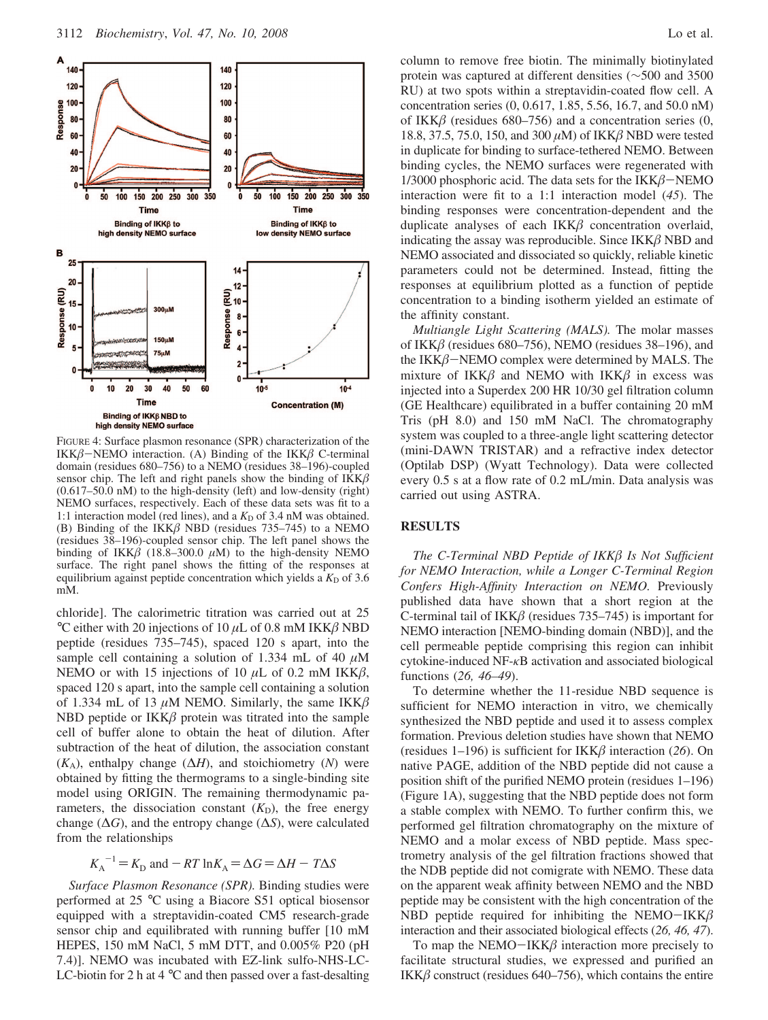

FIGURE 4: Surface plasmon resonance (SPR) characterization of the IKK $\beta$ -NEMO interaction. (A) Binding of the IKK $\beta$  C-terminal domain (residues 680–756) to a NEMO (residues 38–196)-coupled sensor chip. The left and right panels show the binding of  $IKK\beta$ (0.617–50.0 nM) to the high-density (left) and low-density (right) NEMO surfaces, respectively. Each of these data sets was fit to a 1:1 interaction model (red lines), and a  $K<sub>D</sub>$  of 3.4 nM was obtained. (B) Binding of the IKK $\beta$  NBD (residues 735–745) to a NEMO (residues 38–196)-coupled sensor chip. The left panel shows the binding of IKK $\beta$  (18.8–300.0  $\mu$ M) to the high-density NEMO surface. The right panel shows the fitting of the responses at equilibrium against peptide concentration which yields a  $K<sub>D</sub>$  of 3.6 mM.

chloride]. The calorimetric titration was carried out at 25 °C either with 20 injections of 10  $\mu$ L of 0.8 mM IKK $\beta$  NBD peptide (residues 735–745), spaced 120 s apart, into the sample cell containing a solution of 1.334 mL of 40  $\mu$ M NEMO or with 15 injections of 10  $\mu$ L of 0.2 mM IKK $\beta$ , spaced 120 s apart, into the sample cell containing a solution of 1.334 mL of 13  $\mu$ M NEMO. Similarly, the same IKK $\beta$ NBD peptide or  $IKK\beta$  protein was titrated into the sample cell of buffer alone to obtain the heat of dilution. After subtraction of the heat of dilution, the association constant  $(K_A)$ , enthalpy change  $(\Delta H)$ , and stoichiometry  $(N)$  were obtained by fitting the thermograms to a single-binding site model using ORIGIN. The remaining thermodynamic parameters, the dissociation constant  $(K_D)$ , the free energy change (∆*G*), and the entropy change (∆*S*), were calculated from the relationships

$$
K_A^{-1} = K_D
$$
 and  $-RT \ln K_A = \Delta G = \Delta H - T \Delta S$ 

*Surface Plasmon Resonance (SPR).* Binding studies were performed at 25 °C using a Biacore S51 optical biosensor equipped with a streptavidin-coated CM5 research-grade sensor chip and equilibrated with running buffer [10 mM HEPES, 150 mM NaCl, 5 mM DTT, and 0.005% P20 (pH 7.4)]. NEMO was incubated with EZ-link sulfo-NHS-LC-LC-biotin for 2 h at  $4^{\circ}$ C and then passed over a fast-desalting column to remove free biotin. The minimally biotinylated protein was captured at different densities (∼500 and 3500 RU) at two spots within a streptavidin-coated flow cell. A concentration series (0, 0.617, 1.85, 5.56, 16.7, and 50.0 nM) of IKK $\beta$  (residues 680–756) and a concentration series (0, 18.8, 37.5, 75.0, 150, and 300  $\mu$ M) of IKK $\beta$  NBD were tested in duplicate for binding to surface-tethered NEMO. Between binding cycles, the NEMO surfaces were regenerated with 1/3000 phosphoric acid. The data sets for the  $IKK\beta$ -NEMO interaction were fit to a 1:1 interaction model (*45*). The binding responses were concentration-dependent and the duplicate analyses of each  $IKK\beta$  concentration overlaid, indicating the assay was reproducible. Since  $IKK\beta NBD$  and NEMO associated and dissociated so quickly, reliable kinetic parameters could not be determined. Instead, fitting the responses at equilibrium plotted as a function of peptide concentration to a binding isotherm yielded an estimate of the affinity constant.

*Multiangle Light Scattering (MALS).* The molar masses of IKK $\beta$  (residues 680–756), NEMO (residues 38–196), and the  $IKK\beta$ -NEMO complex were determined by MALS. The mixture of IKK $\beta$  and NEMO with IKK $\beta$  in excess was injected into a Superdex 200 HR 10/30 gel filtration column (GE Healthcare) equilibrated in a buffer containing 20 mM Tris (pH 8.0) and 150 mM NaCl. The chromatography system was coupled to a three-angle light scattering detector (mini-DAWN TRISTAR) and a refractive index detector (Optilab DSP) (Wyatt Technology). Data were collected every 0.5 s at a flow rate of 0.2 mL/min. Data analysis was carried out using ASTRA.

#### **RESULTS**

*The C-Terminal NBD Peptide of IKKß Is Not Sufficient for NEMO Interaction, while a Longer C-Terminal Region Confers High-Affinity Interaction on NEMO.* Previously published data have shown that a short region at the C-terminal tail of  $IKK\beta$  (residues 735–745) is important for NEMO interaction [NEMO-binding domain (NBD)], and the cell permeable peptide comprising this region can inhibit cytokine-induced NF-*κ*B activation and associated biological functions (*26, 46–49*).

To determine whether the 11-residue NBD sequence is sufficient for NEMO interaction in vitro, we chemically synthesized the NBD peptide and used it to assess complex formation. Previous deletion studies have shown that NEMO (residues 1–196) is sufficient for  $IKK\beta$  interaction (26). On native PAGE, addition of the NBD peptide did not cause a position shift of the purified NEMO protein (residues 1–196) (Figure 1A), suggesting that the NBD peptide does not form a stable complex with NEMO. To further confirm this, we performed gel filtration chromatography on the mixture of NEMO and a molar excess of NBD peptide. Mass spectrometry analysis of the gel filtration fractions showed that the NDB peptide did not comigrate with NEMO. These data on the apparent weak affinity between NEMO and the NBD peptide may be consistent with the high concentration of the NBD peptide required for inhibiting the NEMO-IKK $\beta$ interaction and their associated biological effects (*26, 46, 47*).

To map the NEMO-IKK $\beta$  interaction more precisely to facilitate structural studies, we expressed and purified an IKK $\beta$  construct (residues 640–756), which contains the entire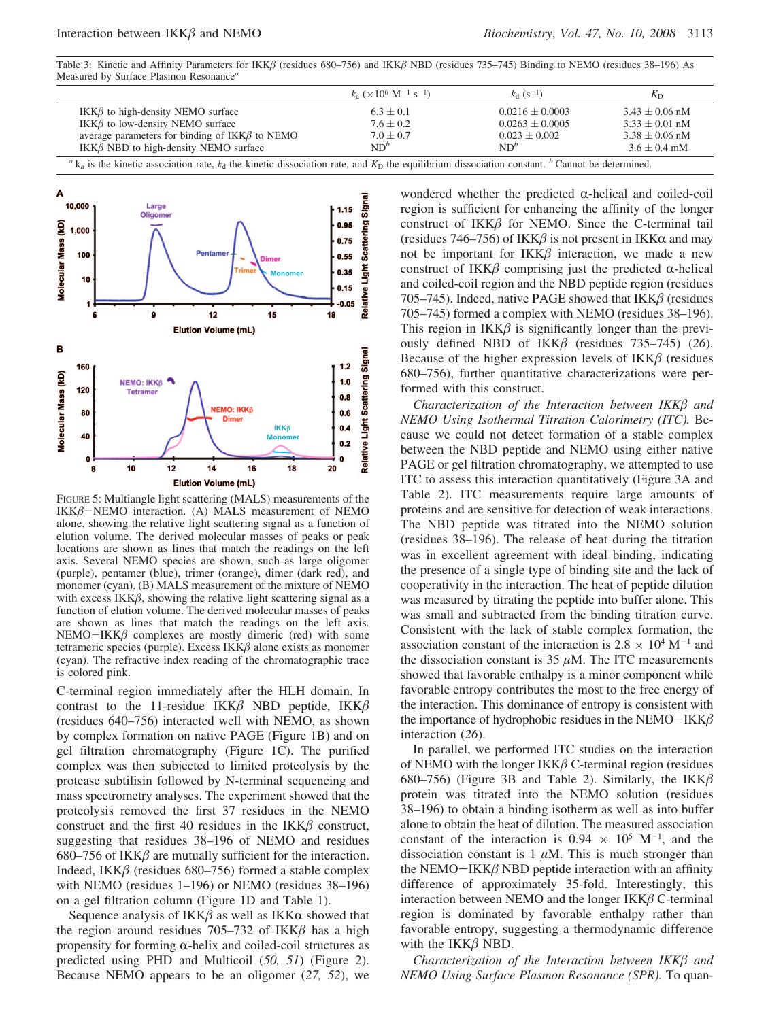Table 3: Kinetic and Affinity Parameters for IKK $\beta$  (residues 680–756) and IKK $\beta$  NBD (residues 735–745) Binding to NEMO (residues 38–196) As Measured by Surface Plasmon Resonance*<sup>a</sup>*

|                                                                                                                                                                                                          | $k_a$ ( $\times$ 10 <sup>6</sup> M <sup>-1</sup> s <sup>-1</sup> ) | $k_{d}$ (s <sup>-1</sup> ) | $K_{D}$            |  |  |  |
|----------------------------------------------------------------------------------------------------------------------------------------------------------------------------------------------------------|--------------------------------------------------------------------|----------------------------|--------------------|--|--|--|
| IKK $\beta$ to high-density NEMO surface                                                                                                                                                                 | $6.3 \pm 0.1$                                                      | $0.0216 \pm 0.0003$        | $3.43 \pm 0.06$ nM |  |  |  |
| IKK $\beta$ to low-density NEMO surface                                                                                                                                                                  | $7.6 \pm 0.2$                                                      | $0.0263 + 0.0005$          | $3.33 + 0.01$ nM   |  |  |  |
| average parameters for binding of $IKK\beta$ to NEMO                                                                                                                                                     | $7.0 \pm 0.7$                                                      | $0.023 \pm 0.002$          | $3.38 + 0.06$ nM   |  |  |  |
| IKK $\beta$ NBD to high-density NEMO surface                                                                                                                                                             | $ND^b$                                                             | $ND^b$                     | $3.6 \pm 0.4$ mM   |  |  |  |
| ${}^{\alpha}$ k <sub>a</sub> is the kinetic association rate, k <sub>d</sub> the kinetic dissociation rate, and K <sub>D</sub> the equilibrium dissociation constant. <sup>b</sup> Cannot be determined. |                                                                    |                            |                    |  |  |  |



FIGURE 5: Multiangle light scattering (MALS) measurements of the  $IKK\beta-NEMO$  interaction. (A) MALS measurement of NEMO alone, showing the relative light scattering signal as a function of elution volume. The derived molecular masses of peaks or peak locations are shown as lines that match the readings on the left axis. Several NEMO species are shown, such as large oligomer (purple), pentamer (blue), trimer (orange), dimer (dark red), and monomer (cyan). (B) MALS measurement of the mixture of NEMO with excess  $IKK\beta$ , showing the relative light scattering signal as a function of elution volume. The derived molecular masses of peaks are shown as lines that match the readings on the left axis.  $NEMO-IKK\beta$  complexes are mostly dimeric (red) with some tetrameric species (purple). Excess  $IKK\beta$  alone exists as monomer (cyan). The refractive index reading of the chromatographic trace is colored pink.

C-terminal region immediately after the HLH domain. In contrast to the 11-residue IKK $\beta$  NBD peptide, IKK $\beta$ (residues 640–756) interacted well with NEMO, as shown by complex formation on native PAGE (Figure 1B) and on gel filtration chromatography (Figure 1C). The purified complex was then subjected to limited proteolysis by the protease subtilisin followed by N-terminal sequencing and mass spectrometry analyses. The experiment showed that the proteolysis removed the first 37 residues in the NEMO construct and the first 40 residues in the  $IKK\beta$  construct, suggesting that residues 38–196 of NEMO and residues 680–756 of IKK $\beta$  are mutually sufficient for the interaction. Indeed, IKK $\beta$  (residues 680–756) formed a stable complex with NEMO (residues 1–196) or NEMO (residues 38–196) on a gel filtration column (Figure 1D and Table 1).

Sequence analysis of  $IKK\beta$  as well as  $IKK\alpha$  showed that the region around residues 705–732 of IKK $\beta$  has a high propensity for forming  $\alpha$ -helix and coiled-coil structures as predicted using PHD and Multicoil (*50, 51*) (Figure 2). Because NEMO appears to be an oligomer (*27, 52*), we wondered whether the predicted  $\alpha$ -helical and coiled-coil region is sufficient for enhancing the affinity of the longer construct of  $IKK\beta$  for NEMO. Since the C-terminal tail (residues 746–756) of IKK $\beta$  is not present in IKK $\alpha$  and may not be important for  $IKK\beta$  interaction, we made a new construct of IKK $\beta$  comprising just the predicted  $\alpha$ -helical and coiled-coil region and the NBD peptide region (residues 705–745). Indeed, native PAGE showed that  $IKK\beta$  (residues 705–745) formed a complex with NEMO (residues 38–196). This region in  $IKK\beta$  is significantly longer than the previously defined NBD of  $IKK\beta$  (residues 735–745) (26). Because of the higher expression levels of  $IKK\beta$  (residues 680–756), further quantitative characterizations were performed with this construct.

*Characterization of the Interaction between IKK* $\beta$  *and NEMO Using Isothermal Titration Calorimetry (ITC).* Because we could not detect formation of a stable complex between the NBD peptide and NEMO using either native PAGE or gel filtration chromatography, we attempted to use ITC to assess this interaction quantitatively (Figure 3A and Table 2). ITC measurements require large amounts of proteins and are sensitive for detection of weak interactions. The NBD peptide was titrated into the NEMO solution (residues 38–196). The release of heat during the titration was in excellent agreement with ideal binding, indicating the presence of a single type of binding site and the lack of cooperativity in the interaction. The heat of peptide dilution was measured by titrating the peptide into buffer alone. This was small and subtracted from the binding titration curve. Consistent with the lack of stable complex formation, the association constant of the interaction is  $2.8 \times 10^4$  M<sup>-1</sup> and the dissociation constant is  $35 \mu$ M. The ITC measurements showed that favorable enthalpy is a minor component while favorable entropy contributes the most to the free energy of the interaction. This dominance of entropy is consistent with the importance of hydrophobic residues in the NEMO-IKK $\beta$ interaction (*26*).

In parallel, we performed ITC studies on the interaction of NEMO with the longer  $IKK\beta$  C-terminal region (residues 680–756) (Figure 3B and Table 2). Similarly, the  $IKK\beta$ protein was titrated into the NEMO solution (residues 38–196) to obtain a binding isotherm as well as into buffer alone to obtain the heat of dilution. The measured association constant of the interaction is  $0.94 \times 10^5$  M<sup>-1</sup>, and the dissociation constant is  $1 \mu M$ . This is much stronger than the NEMO-IKK $\beta$  NBD peptide interaction with an affinity difference of approximately 35-fold. Interestingly, this interaction between NEMO and the longer  $IKK\beta$  C-terminal region is dominated by favorable enthalpy rather than favorable entropy, suggesting a thermodynamic difference with the  $IKK\beta$  NBD.

*Characterization of the Interaction between IKK* $\beta$  *and NEMO Using Surface Plasmon Resonance (SPR).* To quan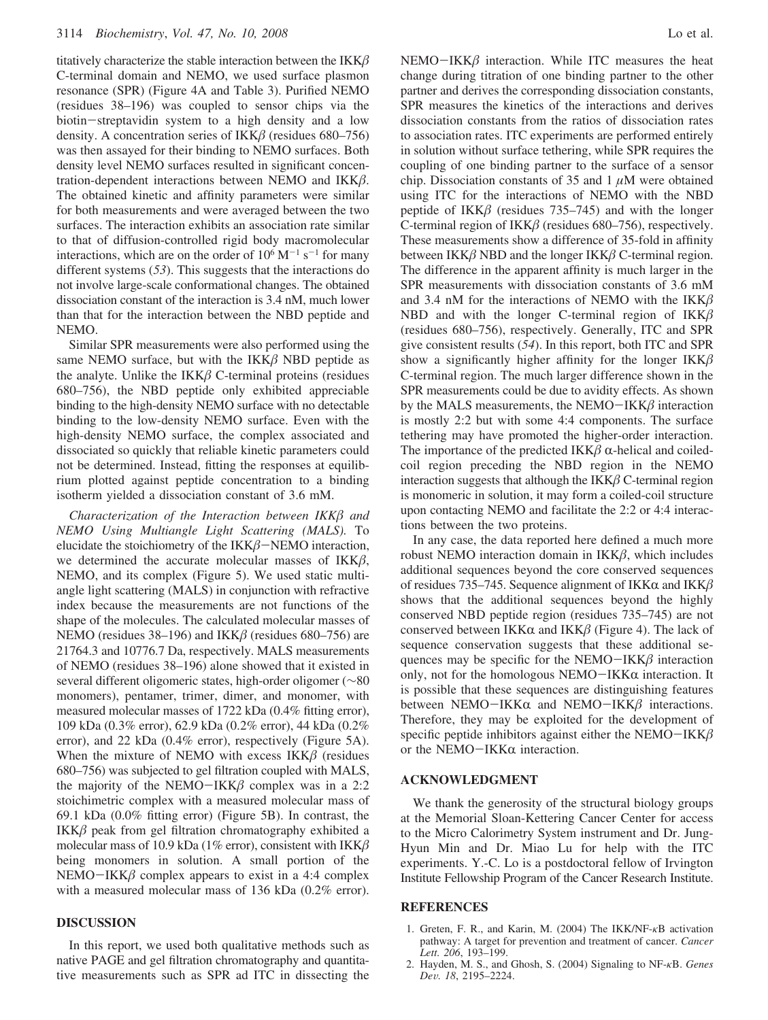titatively characterize the stable interaction between the  $IKK\beta$ C-terminal domain and NEMO, we used surface plasmon resonance (SPR) (Figure 4A and Table 3). Purified NEMO (residues 38–196) was coupled to sensor chips via the biotin-streptavidin system to a high density and a low density. A concentration series of IKK $\beta$  (residues 680–756) was then assayed for their binding to NEMO surfaces. Both density level NEMO surfaces resulted in significant concentration-dependent interactions between NEMO and  $IKK\beta$ . The obtained kinetic and affinity parameters were similar for both measurements and were averaged between the two surfaces. The interaction exhibits an association rate similar to that of diffusion-controlled rigid body macromolecular interactions, which are on the order of  $10^6$  M<sup>-1</sup> s<sup>-1</sup> for many different systems (*53*). This suggests that the interactions do not involve large-scale conformational changes. The obtained dissociation constant of the interaction is 3.4 nM, much lower than that for the interaction between the NBD peptide and NEMO.

Similar SPR measurements were also performed using the same NEMO surface, but with the  $IKK\beta$  NBD peptide as the analyte. Unlike the  $IKK\beta$  C-terminal proteins (residues 680–756), the NBD peptide only exhibited appreciable binding to the high-density NEMO surface with no detectable binding to the low-density NEMO surface. Even with the high-density NEMO surface, the complex associated and dissociated so quickly that reliable kinetic parameters could not be determined. Instead, fitting the responses at equilibrium plotted against peptide concentration to a binding isotherm yielded a dissociation constant of 3.6 mM.

*Characterization of the Interaction between IKK* $\beta$  *and NEMO Using Multiangle Light Scattering (MALS).* To elucidate the stoichiometry of the  $IKK\beta$ -NEMO interaction, we determined the accurate molecular masses of  $IKK\beta$ , NEMO, and its complex (Figure 5). We used static multiangle light scattering (MALS) in conjunction with refractive index because the measurements are not functions of the shape of the molecules. The calculated molecular masses of NEMO (residues 38–196) and IKK $\beta$  (residues 680–756) are 21764.3 and 10776.7 Da, respectively. MALS measurements of NEMO (residues 38–196) alone showed that it existed in several different oligomeric states, high-order oligomer (∼80 monomers), pentamer, trimer, dimer, and monomer, with measured molecular masses of 1722 kDa (0.4% fitting error), 109 kDa (0.3% error), 62.9 kDa (0.2% error), 44 kDa (0.2% error), and 22 kDa (0.4% error), respectively (Figure 5A). When the mixture of NEMO with excess  $IKK\beta$  (residues 680–756) was subjected to gel filtration coupled with MALS, the majority of the NEMO-IKK $\beta$  complex was in a 2:2 stoichimetric complex with a measured molecular mass of 69.1 kDa (0.0% fitting error) (Figure 5B). In contrast, the  $IKK\beta$  peak from gel filtration chromatography exhibited a molecular mass of 10.9 kDa (1% error), consistent with  $IKK\beta$ being monomers in solution. A small portion of the NEMO-IKK $\beta$  complex appears to exist in a 4:4 complex with a measured molecular mass of 136 kDa (0.2% error).

### **DISCUSSION**

In this report, we used both qualitative methods such as native PAGE and gel filtration chromatography and quantitative measurements such as SPR ad ITC in dissecting the NEMO-IKK $\beta$  interaction. While ITC measures the heat change during titration of one binding partner to the other partner and derives the corresponding dissociation constants, SPR measures the kinetics of the interactions and derives dissociation constants from the ratios of dissociation rates to association rates. ITC experiments are performed entirely in solution without surface tethering, while SPR requires the coupling of one binding partner to the surface of a sensor chip. Dissociation constants of 35 and 1 *µ*M were obtained using ITC for the interactions of NEMO with the NBD peptide of IKK $\beta$  (residues 735–745) and with the longer C-terminal region of IKK $\beta$  (residues 680–756), respectively. These measurements show a difference of 35-fold in affinity between IKK $\beta$  NBD and the longer IKK $\beta$  C-terminal region. The difference in the apparent affinity is much larger in the SPR measurements with dissociation constants of 3.6 mM and 3.4 nM for the interactions of NEMO with the  $IKK\beta$ NBD and with the longer C-terminal region of  $IKK\beta$ (residues 680–756), respectively. Generally, ITC and SPR give consistent results (*54*). In this report, both ITC and SPR show a significantly higher affinity for the longer  $IKK\beta$ C-terminal region. The much larger difference shown in the SPR measurements could be due to avidity effects. As shown by the MALS measurements, the NEMO-IKK $\beta$  interaction is mostly 2:2 but with some 4:4 components. The surface tethering may have promoted the higher-order interaction. The importance of the predicted IKK $\beta$   $\alpha$ -helical and coiledcoil region preceding the NBD region in the NEMO interaction suggests that although the  $IKK\beta$  C-terminal region is monomeric in solution, it may form a coiled-coil structure upon contacting NEMO and facilitate the 2:2 or 4:4 interactions between the two proteins.

In any case, the data reported here defined a much more robust NEMO interaction domain in  $IKK\beta$ , which includes additional sequences beyond the core conserved sequences of residues 735–745. Sequence alignment of IKK $\alpha$  and IKK $\beta$ shows that the additional sequences beyond the highly conserved NBD peptide region (residues 735–745) are not conserved between IKK $\alpha$  and IKK $\beta$  (Figure 4). The lack of sequence conservation suggests that these additional sequences may be specific for the NEMO-IKK $\beta$  interaction only, not for the homologous  $NEMO-IKK\alpha$  interaction. It is possible that these sequences are distinguishing features between NEMO-IKK $\alpha$  and NEMO-IKK $\beta$  interactions. Therefore, they may be exploited for the development of specific peptide inhibitors against either the NEMO-IKK $\beta$ or the NEMO $-$ IKK $\alpha$  interaction.

## **ACKNOWLEDGMENT**

We thank the generosity of the structural biology groups at the Memorial Sloan-Kettering Cancer Center for access to the Micro Calorimetry System instrument and Dr. Jung-Hyun Min and Dr. Miao Lu for help with the ITC experiments. Y.-C. Lo is a postdoctoral fellow of Irvington Institute Fellowship Program of the Cancer Research Institute.

#### **REFERENCES**

- 1. Greten, F. R., and Karin, M. (2004) The IKK/NF-*κ*B activation pathway: A target for prevention and treatment of cancer. *Cancer Lett. 206*, 193–199.
- 2. Hayden, M. S., and Ghosh, S. (2004) Signaling to NF-*κ*B. *Genes De*V*. 18*, 2195–2224.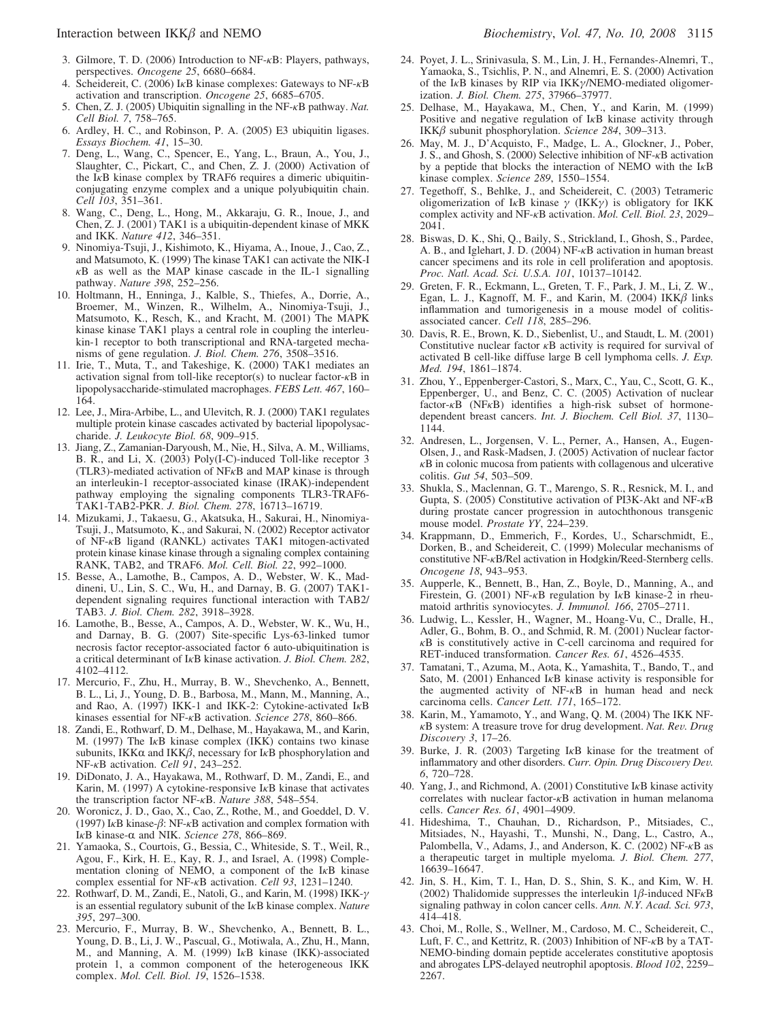- 4. Scheidereit, C. (2006) I*κ*B kinase complexes: Gateways to NF-*κ*B activation and transcription. *Oncogene 25*, 6685–6705.
- 5. Chen, Z. J. (2005) Ubiquitin signalling in the NF-*κ*B pathway. *Nat. Cell Biol. 7*, 758–765.
- 6. Ardley, H. C., and Robinson, P. A. (2005) E3 ubiquitin ligases. *Essays Biochem. 41*, 15–30.
- 7. Deng, L., Wang, C., Spencer, E., Yang, L., Braun, A., You, J., Slaughter, C., Pickart, C., and Chen, Z. J. (2000) Activation of the I*κ*B kinase complex by TRAF6 requires a dimeric ubiquitinconjugating enzyme complex and a unique polyubiquitin chain. *Cell 103*, 351–361.
- 8. Wang, C., Deng, L., Hong, M., Akkaraju, G. R., Inoue, J., and Chen, Z. J. (2001) TAK1 is a ubiquitin-dependent kinase of MKK and IKK. *Nature 412*, 346–351.
- 9. Ninomiya-Tsuji, J., Kishimoto, K., Hiyama, A., Inoue, J., Cao, Z., and Matsumoto, K. (1999) The kinase TAK1 can activate the NIK-I *κ*B as well as the MAP kinase cascade in the IL-1 signalling pathway. *Nature 398*, 252–256.
- 10. Holtmann, H., Enninga, J., Kalble, S., Thiefes, A., Dorrie, A., Broemer, M., Winzen, R., Wilhelm, A., Ninomiya-Tsuji, J., Matsumoto, K., Resch, K., and Kracht, M. (2001) The MAPK kinase kinase TAK1 plays a central role in coupling the interleukin-1 receptor to both transcriptional and RNA-targeted mechanisms of gene regulation. *J. Biol. Chem. 276*, 3508–3516.
- 11. Irie, T., Muta, T., and Takeshige, K. (2000) TAK1 mediates an activation signal from toll-like receptor(s) to nuclear factor-*κ*B in lipopolysaccharide-stimulated macrophages. *FEBS Lett. 467*, 160– 164.
- 12. Lee, J., Mira-Arbibe, L., and Ulevitch, R. J. (2000) TAK1 regulates multiple protein kinase cascades activated by bacterial lipopolysaccharide. *J. Leukocyte Biol. 68*, 909–915.
- 13. Jiang, Z., Zamanian-Daryoush, M., Nie, H., Silva, A. M., Williams, B. R., and Li, X. (2003) Poly(I-C)-induced Toll-like receptor 3 (TLR3)-mediated activation of NF*κ*B and MAP kinase is through an interleukin-1 receptor-associated kinase (IRAK)-independent pathway employing the signaling components TLR3-TRAF6- TAK1-TAB2-PKR. *J. Biol. Chem. 278*, 16713–16719.
- 14. Mizukami, J., Takaesu, G., Akatsuka, H., Sakurai, H., Ninomiya-Tsuji, J., Matsumoto, K., and Sakurai, N. (2002) Receptor activator of NF-*κ*B ligand (RANKL) activates TAK1 mitogen-activated protein kinase kinase kinase through a signaling complex containing RANK, TAB2, and TRAF6. *Mol. Cell. Biol. 22*, 992–1000.
- 15. Besse, A., Lamothe, B., Campos, A. D., Webster, W. K., Maddineni, U., Lin, S. C., Wu, H., and Darnay, B. G. (2007) TAK1 dependent signaling requires functional interaction with TAB2/ TAB3. *J. Biol. Chem. 282*, 3918–3928.
- 16. Lamothe, B., Besse, A., Campos, A. D., Webster, W. K., Wu, H., and Darnay, B. G. (2007) Site-specific Lys-63-linked tumor necrosis factor receptor-associated factor 6 auto-ubiquitination is a critical determinant of I*κ*B kinase activation. *J. Biol. Chem. 282*, 4102–4112.
- 17. Mercurio, F., Zhu, H., Murray, B. W., Shevchenko, A., Bennett, B. L., Li, J., Young, D. B., Barbosa, M., Mann, M., Manning, A., and Rao, A. (1997) IKK-1 and IKK-2: Cytokine-activated I*κ*B kinases essential for NF-*κ*B activation. *Science 278*, 860–866.
- 18. Zandi, E., Rothwarf, D. M., Delhase, M., Hayakawa, M., and Karin, M. (1997) The I*κ*B kinase complex (IKK) contains two kinase subunits, IKK $\alpha$  and IKK $\beta$ , necessary for I<sub>K</sub>B phosphorylation and NF-*κ*B activation. *Cell 91*, 243–252.
- 19. DiDonato, J. A., Hayakawa, M., Rothwarf, D. M., Zandi, E., and Karin, M. (1997) A cytokine-responsive I*κ*B kinase that activates the transcription factor NF-*κ*B. *Nature 388*, 548–554.
- 20. Woronicz, J. D., Gao, X., Cao, Z., Rothe, M., and Goeddel, D. V. (1997) IκB kinase-β: NF-κB activation and complex formation with I<sub>K</sub>B kinase-α and NIK. *Science* 278, 866–869.
- 21. Yamaoka, S., Courtois, G., Bessia, C., Whiteside, S. T., Weil, R., Agou, F., Kirk, H. E., Kay, R. J., and Israel, A. (1998) Complementation cloning of NEMO, a component of the I*κ*B kinase complex essential for NF-*κ*B activation. *Cell 93*, 1231–1240.
- 22. Rothwarf, D. M., Zandi, E., Natoli, G., and Karin, M. (1998) IKK-*γ* is an essential regulatory subunit of the I*κ*B kinase complex. *Nature 395*, 297–300.
- 23. Mercurio, F., Murray, B. W., Shevchenko, A., Bennett, B. L., Young, D. B., Li, J. W., Pascual, G., Motiwala, A., Zhu, H., Mann, M., and Manning, A. M. (1999) I*κ*B kinase (IKK)-associated protein 1, a common component of the heterogeneous IKK complex. *Mol. Cell. Biol. 19*, 1526–1538.
- 24. Poyet, J. L., Srinivasula, S. M., Lin, J. H., Fernandes-Alnemri, T., Yamaoka, S., Tsichlis, P. N., and Alnemri, E. S. (2000) Activation of the I*κ*B kinases by RIP via IKK*γ*/NEMO-mediated oligomerization. *J. Biol. Chem. 275*, 37966–37977.
- 25. Delhase, M., Hayakawa, M., Chen, Y., and Karin, M. (1999) Positive and negative regulation of I*κ*B kinase activity through IKK $\beta$  subunit phosphorylation. *Science* 284, 309–313.
- 26. May, M. J., D'Acquisto, F., Madge, L. A., Glockner, J., Pober, J. S., and Ghosh, S. (2000) Selective inhibition of NF-*κ*B activation by a peptide that blocks the interaction of NEMO with the I*κ*B kinase complex. *Science 289*, 1550–1554.
- 27. Tegethoff, S., Behlke, J., and Scheidereit, C. (2003) Tetrameric oligomerization of I*κ*B kinase *γ* (IKK*γ*) is obligatory for IKK complex activity and NF-*κ*B activation. *Mol. Cell. Biol. 23*, 2029– 2041.
- 28. Biswas, D. K., Shi, Q., Baily, S., Strickland, I., Ghosh, S., Pardee, A. B., and Iglehart, J. D. (2004) NF-*κ*B activation in human breast cancer specimens and its role in cell proliferation and apoptosis. *Proc. Natl. Acad. Sci. U.S.A. 101*, 10137–10142.
- 29. Greten, F. R., Eckmann, L., Greten, T. F., Park, J. M., Li, Z. W., Egan, L. J., Kagnoff, M. F., and Karin, M. (2004) IKK $\beta$  links inflammation and tumorigenesis in a mouse model of colitisassociated cancer. *Cell 118*, 285–296.
- 30. Davis, R. E., Brown, K. D., Siebenlist, U., and Staudt, L. M. (2001) Constitutive nuclear factor *κ*B activity is required for survival of activated B cell-like diffuse large B cell lymphoma cells. *J. Exp. Med. 194*, 1861–1874.
- 31. Zhou, Y., Eppenberger-Castori, S., Marx, C., Yau, C., Scott, G. K., Eppenberger, U., and Benz, C. C. (2005) Activation of nuclear factor-*κ*B (NF*κ*B) identifies a high-risk subset of hormonedependent breast cancers. *Int. J. Biochem. Cell Biol. 37*, 1130– 1144.
- 32. Andresen, L., Jorgensen, V. L., Perner, A., Hansen, A., Eugen-Olsen, J., and Rask-Madsen, J. (2005) Activation of nuclear factor *κ*B in colonic mucosa from patients with collagenous and ulcerative colitis. *Gut 54*, 503–509.
- 33. Shukla, S., Maclennan, G. T., Marengo, S. R., Resnick, M. I., and Gupta, S. (2005) Constitutive activation of PI3K-Akt and NF-*κ*B during prostate cancer progression in autochthonous transgenic mouse model. *Prostate YY*, 224–239.
- 34. Krappmann, D., Emmerich, F., Kordes, U., Scharschmidt, E., Dorken, B., and Scheidereit, C. (1999) Molecular mechanisms of constitutive NF-*κ*B/Rel activation in Hodgkin/Reed-Sternberg cells. *Oncogene 18*, 943–953.
- 35. Aupperle, K., Bennett, B., Han, Z., Boyle, D., Manning, A., and Firestein, G. (2001) NF-*κ*B regulation by I*κ*B kinase-2 in rheumatoid arthritis synoviocytes. *J. Immunol. 166*, 2705–2711.
- 36. Ludwig, L., Kessler, H., Wagner, M., Hoang-Vu, C., Dralle, H., Adler, G., Bohm, B. O., and Schmid, R. M. (2001) Nuclear factor*κ*B is constitutively active in C-cell carcinoma and required for RET-induced transformation. *Cancer Res. 61*, 4526–4535.
- 37. Tamatani, T., Azuma, M., Aota, K., Yamashita, T., Bando, T., and Sato, M. (2001) Enhanced I*κ*B kinase activity is responsible for the augmented activity of NF-*κ*B in human head and neck carcinoma cells. *Cancer Lett. 171*, 165–172.
- 38. Karin, M., Yamamoto, Y., and Wang, Q. M. (2004) The IKK NF*<sup>κ</sup>*B system: A treasure trove for drug development. *Nat. Re*V*. Drug Disco*V*ery 3*, 17–26.
- 39. Burke, J. R. (2003) Targeting I*κ*B kinase for the treatment of inflammatory and other disorders. *Curr. Opin. Drug Discovery Dev. 6*, 720–728.
- 40. Yang, J., and Richmond, A. (2001) Constitutive I*κ*B kinase activity correlates with nuclear factor-*κ*B activation in human melanoma cells. *Cancer Res. 61*, 4901–4909.
- 41. Hideshima, T., Chauhan, D., Richardson, P., Mitsiades, C., Mitsiades, N., Hayashi, T., Munshi, N., Dang, L., Castro, A., Palombella, V., Adams, J., and Anderson, K. C. (2002) NF-*κ*B as a therapeutic target in multiple myeloma. *J. Biol. Chem. 277*, 16639–16647.
- 42. Jin, S. H., Kim, T. I., Han, D. S., Shin, S. K., and Kim, W. H. (2002) Thalidomide suppresses the interleukin  $1\beta$ -induced NF $\kappa$ B signaling pathway in colon cancer cells. *Ann. N.Y. Acad. Sci. 973*, 414–418.
- 43. Choi, M., Rolle, S., Wellner, M., Cardoso, M. C., Scheidereit, C., Luft, F. C., and Kettritz, R. (2003) Inhibition of NF-*κ*B by a TAT-NEMO-binding domain peptide accelerates constitutive apoptosis and abrogates LPS-delayed neutrophil apoptosis. *Blood 102*, 2259– 2267.